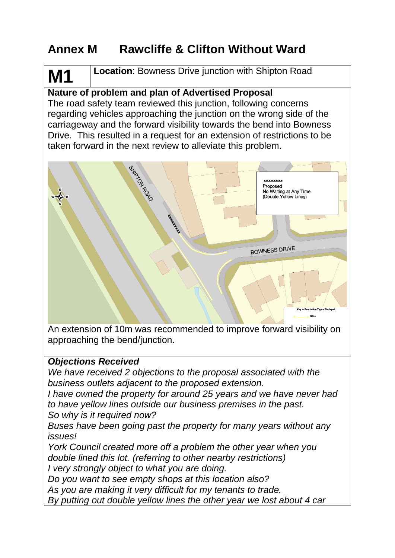## **Annex M Rawcliffe & Clifton Without Ward**

# **Location**: Bowness Drive junction with Shipton Road

## **Nature of problem and plan of Advertised Proposal**

The road safety team reviewed this junction, following concerns regarding vehicles approaching the junction on the wrong side of the carriageway and the forward visibility towards the bend into Bowness Drive. This resulted in a request for an extension of restrictions to be taken forward in the next review to alleviate this problem.



An extension of 10m was recommended to improve forward visibility on approaching the bend/junction.

## *Objections Received*

**M1**

*We have received 2 objections to the proposal associated with the business outlets adjacent to the proposed extension.*

*I have owned the property for around 25 years and we have never had to have yellow lines outside our business premises in the past. So why is it required now?*

*Buses have been going past the property for many years without any issues!*

*York Council created more off a problem the other year when you double lined this lot. (referring to other nearby restrictions) I very strongly object to what you are doing.*

*Do you want to see empty shops at this location also?*

*As you are making it very difficult for my tenants to trade.*

*By putting out double yellow lines the other year we lost about 4 car*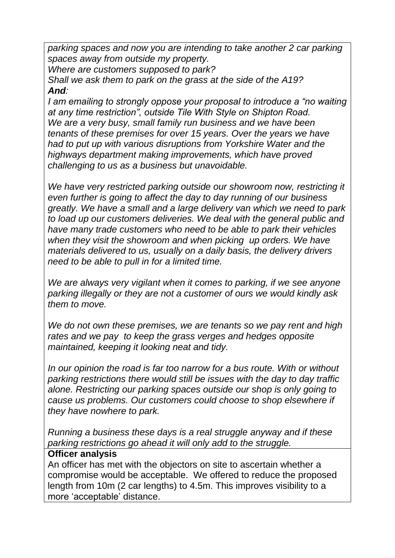*parking spaces and now you are intending to take another 2 car parking spaces away from outside my property.*

*Where are customers supposed to park?*

*Shall we ask them to park on the grass at the side of the A19? And:*

*I am emailing to strongly oppose your proposal to introduce a "no waiting at any time restriction", outside Tile With Style on Shipton Road. We are a very busy, small family run business and we have been tenants of these premises for over 15 years. Over the years we have had to put up with various disruptions from Yorkshire Water and the highways department making improvements, which have proved challenging to us as a business but unavoidable.* 

We have very restricted parking outside our showroom now, restricting it *even further is going to affect the day to day running of our business greatly. We have a small and a large delivery van which we need to park to load up our customers deliveries. We deal with the general public and have many trade customers who need to be able to park their vehicles when they visit the showroom and when picking up orders. We have materials delivered to us, usually on a daily basis, the delivery drivers need to be able to pull in for a limited time.* 

*We are always very vigilant when it comes to parking, if we see anyone parking illegally or they are not a customer of ours we would kindly ask them to move.* 

*We do not own these premises, we are tenants so we pay rent and high rates and we pay to keep the grass verges and hedges opposite maintained, keeping it looking neat and tidy.*

*In our opinion the road is far too narrow for a bus route. With or without parking restrictions there would still be issues with the day to day traffic alone. Restricting our parking spaces outside our shop is only going to cause us problems. Our customers could choose to shop elsewhere if they have nowhere to park.* 

*Running a business these days is a real struggle anyway and if these parking restrictions go ahead it will only add to the struggle.* 

## **Officer analysis**

An officer has met with the objectors on site to ascertain whether a compromise would be acceptable. We offered to reduce the proposed length from 10m (2 car lengths) to 4.5m. This improves visibility to a more 'acceptable' distance.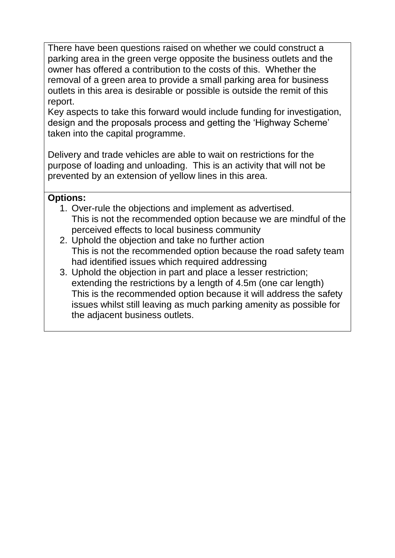There have been questions raised on whether we could construct a parking area in the green verge opposite the business outlets and the owner has offered a contribution to the costs of this. Whether the removal of a green area to provide a small parking area for business outlets in this area is desirable or possible is outside the remit of this report.

Key aspects to take this forward would include funding for investigation, design and the proposals process and getting the 'Highway Scheme' taken into the capital programme.

Delivery and trade vehicles are able to wait on restrictions for the purpose of loading and unloading. This is an activity that will not be prevented by an extension of yellow lines in this area.

## **Options:**

- 1. Over-rule the objections and implement as advertised. This is not the recommended option because we are mindful of the perceived effects to local business community
- 2. Uphold the objection and take no further action This is not the recommended option because the road safety team had identified issues which required addressing
- 3. Uphold the objection in part and place a lesser restriction; extending the restrictions by a length of 4.5m (one car length) This is the recommended option because it will address the safety issues whilst still leaving as much parking amenity as possible for the adjacent business outlets.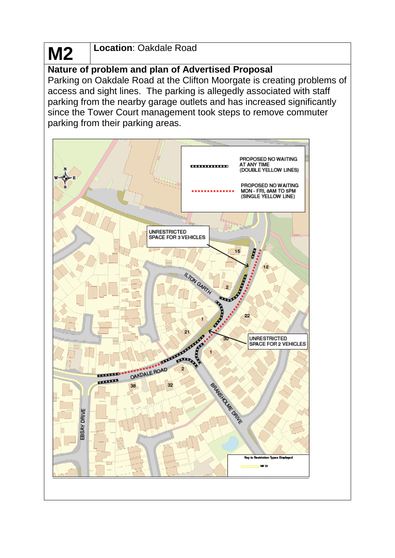#### **M2 Location**: Oakdale Road

## **Nature of problem and plan of Advertised Proposal**

Parking on Oakdale Road at the Clifton Moorgate is creating problems of access and sight lines. The parking is allegedly associated with staff parking from the nearby garage outlets and has increased significantly since the Tower Court management took steps to remove commuter parking from their parking areas.

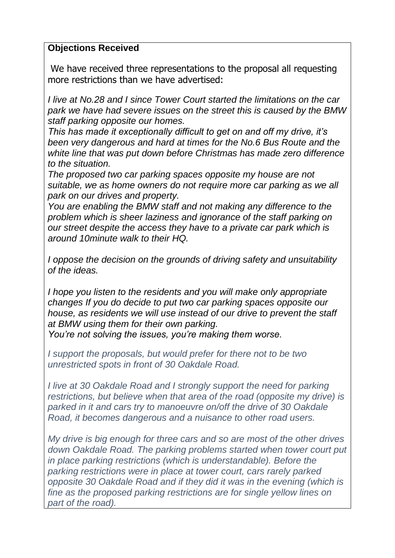## **Objections Received**

We have received three representations to the proposal all requesting more restrictions than we have advertised:

*I live at No.28 and I since Tower Court started the limitations on the car park we have had severe issues on the street this is caused by the BMW staff parking opposite our homes.*

*This has made it exceptionally difficult to get on and off my drive, it's been very dangerous and hard at times for the No.6 Bus Route and the white line that was put down before Christmas has made zero difference to the situation.*

*The proposed two car parking spaces opposite my house are not suitable, we as home owners do not require more car parking as we all park on our drives and property.*

*You are enabling the BMW staff and not making any difference to the problem which is sheer laziness and ignorance of the staff parking on our street despite the access they have to a private car park which is around 10minute walk to their HQ.*

*I oppose the decision on the grounds of driving safety and unsuitability of the ideas.*

*I hope you listen to the residents and you will make only appropriate changes If you do decide to put two car parking spaces opposite our house, as residents we will use instead of our drive to prevent the staff at BMW using them for their own parking.*

*You're not solving the issues, you're making them worse.*

*I support the proposals, but would prefer for there not to be two unrestricted spots in front of 30 Oakdale Road.*

*I live at 30 Oakdale Road and I strongly support the need for parking restrictions, but believe when that area of the road (opposite my drive) is parked in it and cars try to manoeuvre on/off the drive of 30 Oakdale Road, it becomes dangerous and a nuisance to other road users.*

*My drive is big enough for three cars and so are most of the other drives down Oakdale Road. The parking problems started when tower court put in place parking restrictions (which is understandable). Before the parking restrictions were in place at tower court, cars rarely parked opposite 30 Oakdale Road and if they did it was in the evening (which is fine as the proposed parking restrictions are for single yellow lines on part of the road).*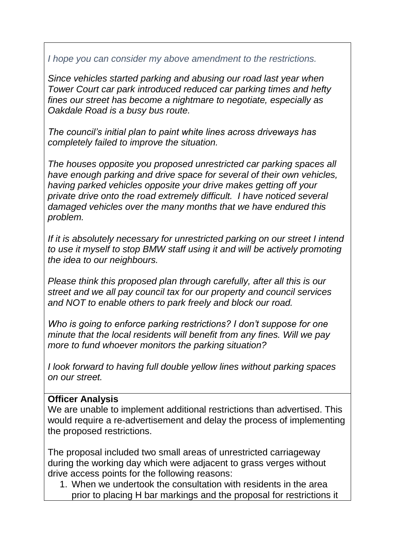*I hope you can consider my above amendment to the restrictions.*

*Since vehicles started parking and abusing our road last year when Tower Court car park introduced reduced car parking times and hefty fines our street has become a nightmare to negotiate, especially as Oakdale Road is a busy bus route.*

*The council's initial plan to paint white lines across driveways has completely failed to improve the situation.*

*The houses opposite you proposed unrestricted car parking spaces all have enough parking and drive space for several of their own vehicles, having parked vehicles opposite your drive makes getting off your private drive onto the road extremely difficult. I have noticed several damaged vehicles over the many months that we have endured this problem.*

*If it is absolutely necessary for unrestricted parking on our street I intend to use it myself to stop BMW staff using it and will be actively promoting the idea to our neighbours.*

*Please think this proposed plan through carefully, after all this is our street and we all pay council tax for our property and council services and NOT to enable others to park freely and block our road.*

*Who is going to enforce parking restrictions? I don't suppose for one minute that the local residents will benefit from any fines. Will we pay more to fund whoever monitors the parking situation?*

*I look forward to having full double yellow lines without parking spaces on our street.*

#### **Officer Analysis**

We are unable to implement additional restrictions than advertised. This would require a re-advertisement and delay the process of implementing the proposed restrictions.

The proposal included two small areas of unrestricted carriageway during the working day which were adjacent to grass verges without drive access points for the following reasons:

1. When we undertook the consultation with residents in the area prior to placing H bar markings and the proposal for restrictions it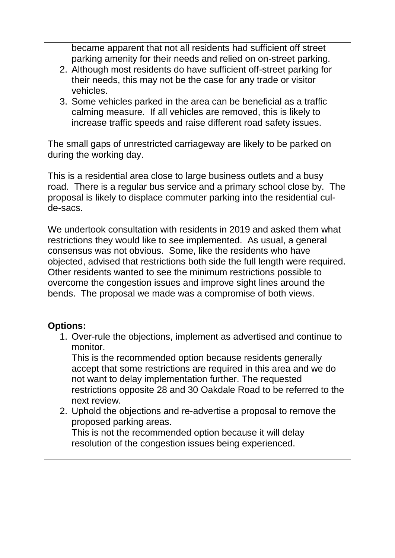became apparent that not all residents had sufficient off street parking amenity for their needs and relied on on-street parking.

- 2. Although most residents do have sufficient off-street parking for their needs, this may not be the case for any trade or visitor vehicles.
- 3. Some vehicles parked in the area can be beneficial as a traffic calming measure. If all vehicles are removed, this is likely to increase traffic speeds and raise different road safety issues.

The small gaps of unrestricted carriageway are likely to be parked on during the working day.

This is a residential area close to large business outlets and a busy road. There is a regular bus service and a primary school close by. The proposal is likely to displace commuter parking into the residential culde-sacs.

We undertook consultation with residents in 2019 and asked them what restrictions they would like to see implemented. As usual, a general consensus was not obvious. Some, like the residents who have objected, advised that restrictions both side the full length were required. Other residents wanted to see the minimum restrictions possible to overcome the congestion issues and improve sight lines around the bends. The proposal we made was a compromise of both views.

## **Options:**

1. Over-rule the objections, implement as advertised and continue to monitor.

This is the recommended option because residents generally accept that some restrictions are required in this area and we do not want to delay implementation further. The requested restrictions opposite 28 and 30 Oakdale Road to be referred to the next review.

2. Uphold the objections and re-advertise a proposal to remove the proposed parking areas. This is not the recommended option because it will delay

resolution of the congestion issues being experienced.